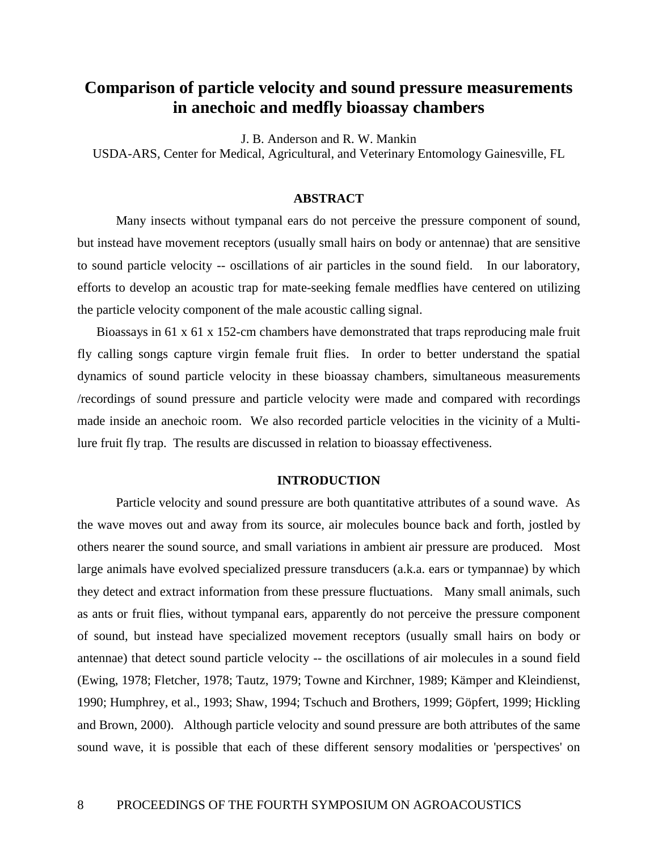# **Comparison of particle velocity and sound pressure measurements in anechoic and medfly bioassay chambers**

J. B. Anderson and R. W. Mankin

USDA-ARS, Center for Medical, Agricultural, and Veterinary Entomology Gainesville, FL

# **ABSTRACT**

Many insects without tympanal ears do not perceive the pressure component of sound, but instead have movement receptors (usually small hairs on body or antennae) that are sensitive to sound particle velocity -- oscillations of air particles in the sound field. In our laboratory, efforts to develop an acoustic trap for mate-seeking female medflies have centered on utilizing the particle velocity component of the male acoustic calling signal.

Bioassays in 61 x 61 x 152-cm chambers have demonstrated that traps reproducing male fruit fly calling songs capture virgin female fruit flies. In order to better understand the spatial dynamics of sound particle velocity in these bioassay chambers, simultaneous measurements /recordings of sound pressure and particle velocity were made and compared with recordings made inside an anechoic room. We also recorded particle velocities in the vicinity of a Multilure fruit fly trap. The results are discussed in relation to bioassay effectiveness.

### **INTRODUCTION**

Particle velocity and sound pressure are both quantitative attributes of a sound wave. As the wave moves out and away from its source, air molecules bounce back and forth, jostled by others nearer the sound source, and small variations in ambient air pressure are produced. Most large animals have evolved specialized pressure transducers (a.k.a. ears or tympannae) by which they detect and extract information from these pressure fluctuations. Many small animals, such as ants or fruit flies, without tympanal ears, apparently do not perceive the pressure component of sound, but instead have specialized movement receptors (usually small hairs on body or antennae) that detect sound particle velocity -- the oscillations of air molecules in a sound field (Ewing, 1978; Fletcher, 1978; Tautz, 1979; Towne and Kirchner, 1989; Kämper and Kleindienst, 1990; Humphrey, et al., 1993; Shaw, 1994; Tschuch and Brothers, 1999; Göpfert, 1999; Hickling and Brown, 2000). Although particle velocity and sound pressure are both attributes of the same sound wave, it is possible that each of these different sensory modalities or 'perspectives' on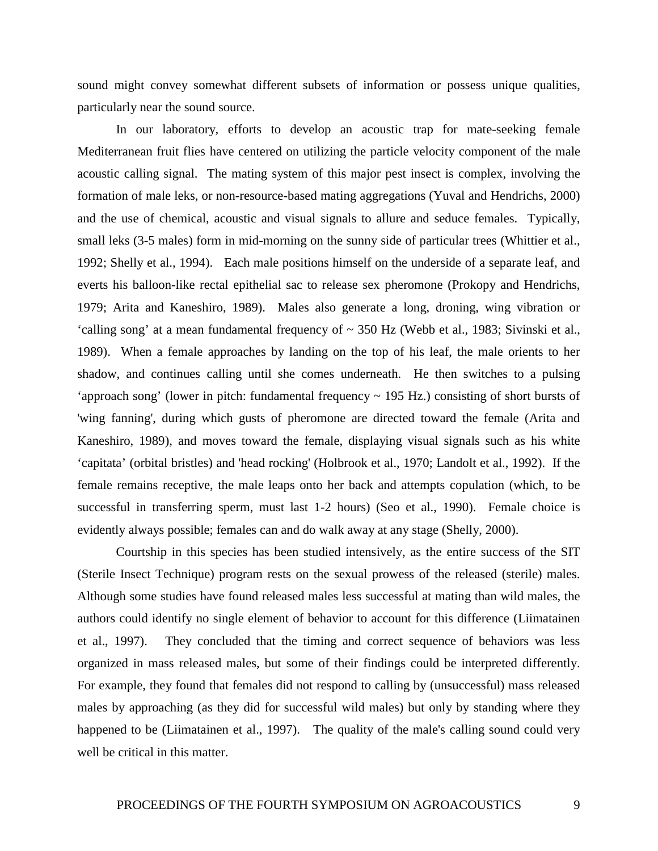sound might convey somewhat different subsets of information or possess unique qualities, particularly near the sound source.

In our laboratory, efforts to develop an acoustic trap for mate-seeking female Mediterranean fruit flies have centered on utilizing the particle velocity component of the male acoustic calling signal. The mating system of this major pest insect is complex, involving the formation of male leks, or non-resource-based mating aggregations (Yuval and Hendrichs, 2000) and the use of chemical, acoustic and visual signals to allure and seduce females. Typically, small leks (3-5 males) form in mid-morning on the sunny side of particular trees (Whittier et al., 1992; Shelly et al., 1994). Each male positions himself on the underside of a separate leaf, and everts his balloon-like rectal epithelial sac to release sex pheromone (Prokopy and Hendrichs, 1979; Arita and Kaneshiro, 1989). Males also generate a long, droning, wing vibration or 'calling song' at a mean fundamental frequency of ~ 350 Hz (Webb et al., 1983; Sivinski et al., 1989). When a female approaches by landing on the top of his leaf, the male orients to her shadow, and continues calling until she comes underneath. He then switches to a pulsing 'approach song' (lower in pitch: fundamental frequency ~ 195 Hz.) consisting of short bursts of 'wing fanning', during which gusts of pheromone are directed toward the female (Arita and Kaneshiro, 1989), and moves toward the female, displaying visual signals such as his white 'capitata' (orbital bristles) and 'head rocking' (Holbrook et al., 1970; Landolt et al., 1992). If the female remains receptive, the male leaps onto her back and attempts copulation (which, to be successful in transferring sperm, must last 1-2 hours) (Seo et al., 1990). Female choice is evidently always possible; females can and do walk away at any stage (Shelly, 2000).

Courtship in this species has been studied intensively, as the entire success of the SIT (Sterile Insect Technique) program rests on the sexual prowess of the released (sterile) males. Although some studies have found released males less successful at mating than wild males, the authors could identify no single element of behavior to account for this difference (Liimatainen et al., 1997). They concluded that the timing and correct sequence of behaviors was less organized in mass released males, but some of their findings could be interpreted differently. For example, they found that females did not respond to calling by (unsuccessful) mass released males by approaching (as they did for successful wild males) but only by standing where they happened to be (Liimatainen et al., 1997). The quality of the male's calling sound could very well be critical in this matter.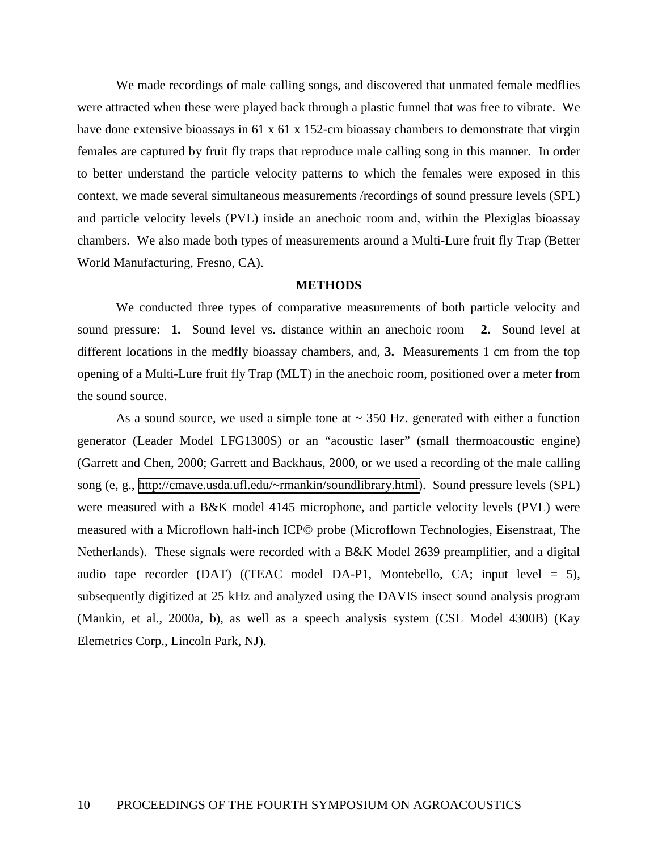We made recordings of male calling songs, and discovered that unmated female medflies were attracted when these were played back through a plastic funnel that was free to vibrate. We have done extensive bioassays in 61 x 61 x 152-cm bioassay chambers to demonstrate that virgin females are captured by fruit fly traps that reproduce male calling song in this manner. In order to better understand the particle velocity patterns to which the females were exposed in this context, we made several simultaneous measurements /recordings of sound pressure levels (SPL) and particle velocity levels (PVL) inside an anechoic room and, within the Plexiglas bioassay chambers. We also made both types of measurements around a Multi-Lure fruit fly Trap (Better World Manufacturing, Fresno, CA).

## **METHODS**

We conducted three types of comparative measurements of both particle velocity and sound pressure: **1.** Sound level vs. distance within an anechoic room **2.** Sound level at different locations in the medfly bioassay chambers, and, **3.** Measurements 1 cm from the top opening of a Multi-Lure fruit fly Trap (MLT) in the anechoic room, positioned over a meter from the sound source.

As a sound source, we used a simple tone at  $\sim$  350 Hz. generated with either a function generator (Leader Model LFG1300S) or an "acoustic laser" (small thermoacoustic engine) (Garrett and Chen, 2000; Garrett and Backhaus, 2000, or we used a recording of the male calling song (e, g., [http://cmave.usda.ufl.edu/~rmankin/soundlibrary.html\)](http://cmave.usda.ufl.edu/). Sound pressure levels (SPL) were measured with a B&K model 4145 microphone, and particle velocity levels (PVL) were measured with a Microflown half-inch ICP© probe (Microflown Technologies, Eisenstraat, The Netherlands). These signals were recorded with a B&K Model 2639 preamplifier, and a digital audio tape recorder (DAT) ((TEAC model DA-P1, Montebello, CA; input level  $= 5$ ), subsequently digitized at 25 kHz and analyzed using the DAVIS insect sound analysis program (Mankin, et al., 2000a, b), as well as a speech analysis system (CSL Model 4300B) (Kay Elemetrics Corp., Lincoln Park, NJ).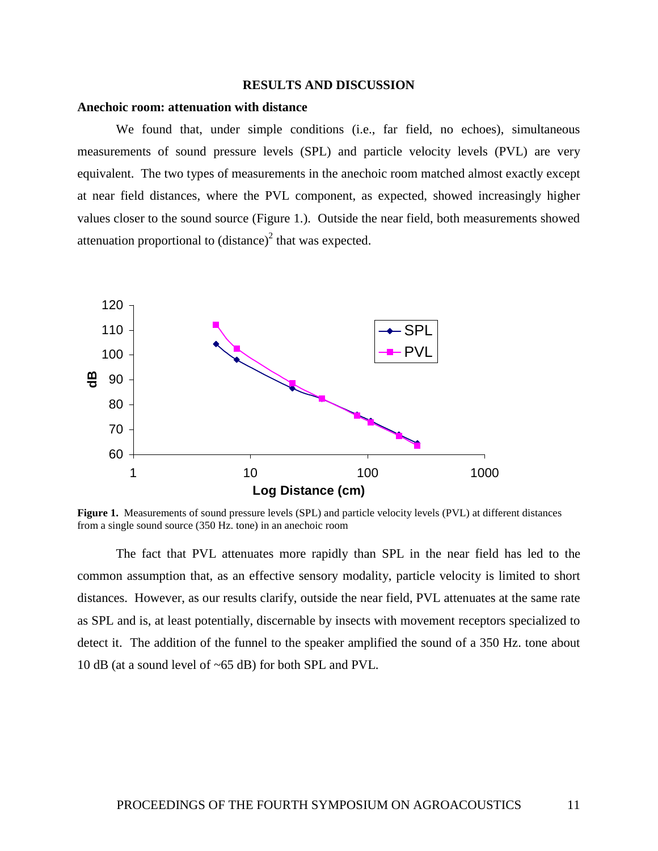## **RESULTS AND DISCUSSION**

### **Anechoic room: attenuation with distance**

We found that, under simple conditions (i.e., far field, no echoes), simultaneous measurements of sound pressure levels (SPL) and particle velocity levels (PVL) are very equivalent. The two types of measurements in the anechoic room matched almost exactly except at near field distances, where the PVL component, as expected, showed increasingly higher values closer to the sound source (Figure 1.). Outside the near field, both measurements showed attenuation proportional to  $(distance)^2$  that was expected.



 **Figure 1.** Measurements of sound pressure levels (SPL) and particle velocity levels (PVL) at different distances from a single sound source (350 Hz. tone) in an anechoic room

The fact that PVL attenuates more rapidly than SPL in the near field has led to the common assumption that, as an effective sensory modality, particle velocity is limited to short distances. However, as our results clarify, outside the near field, PVL attenuates at the same rate as SPL and is, at least potentially, discernable by insects with movement receptors specialized to detect it. The addition of the funnel to the speaker amplified the sound of a 350 Hz. tone about 10 dB (at a sound level of ~65 dB) for both SPL and PVL.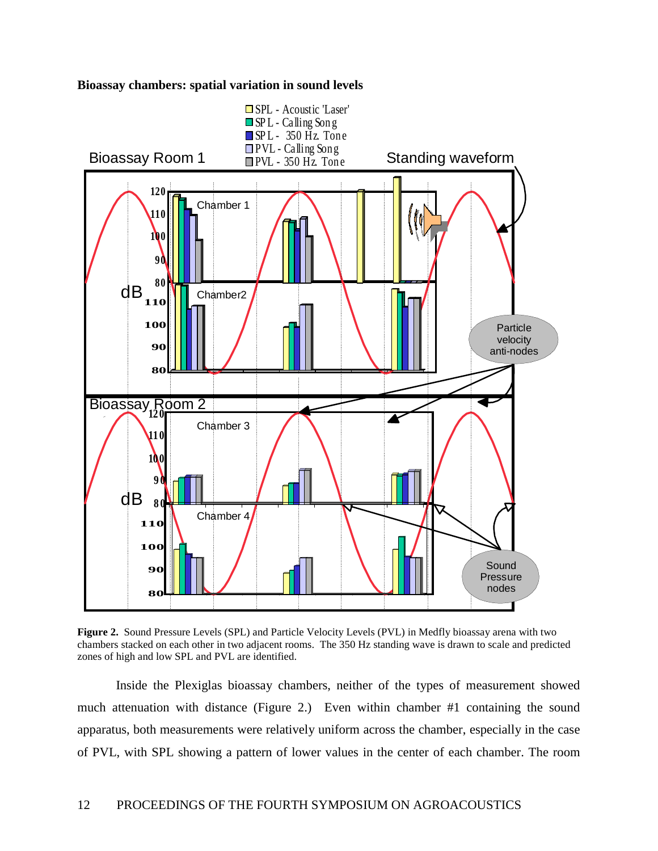



**Figure 2.** Sound Pressure Levels (SPL) and Particle Velocity Levels (PVL) in Medfly bioassay arena with two chambers stacked on each other in two adjacent rooms. The 350 Hz standing wave is drawn to scale and predicted zones of high and low SPL and PVL are identified.

Inside the Plexiglas bioassay chambers, neither of the types of measurement showed much attenuation with distance (Figure 2.) Even within chamber #1 containing the sound apparatus, both measurements were relatively uniform across the chamber, especially in the case of PVL, with SPL showing a pattern of lower values in the center of each chamber. The room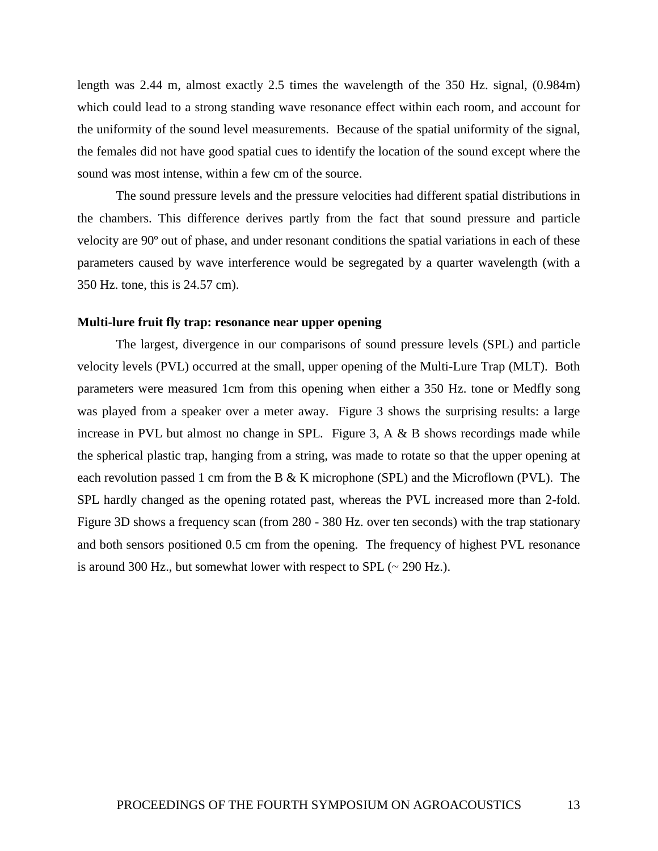length was 2.44 m, almost exactly 2.5 times the wavelength of the 350 Hz. signal, (0.984m) which could lead to a strong standing wave resonance effect within each room, and account for the uniformity of the sound level measurements. Because of the spatial uniformity of the signal, the females did not have good spatial cues to identify the location of the sound except where the sound was most intense, within a few cm of the source.

The sound pressure levels and the pressure velocities had different spatial distributions in the chambers. This difference derives partly from the fact that sound pressure and particle velocity are 90º out of phase, and under resonant conditions the spatial variations in each of these parameters caused by wave interference would be segregated by a quarter wavelength (with a 350 Hz. tone, this is 24.57 cm).

# **Multi-lure fruit fly trap: resonance near upper opening**

 The largest, divergence in our comparisons of sound pressure levels (SPL) and particle velocity levels (PVL) occurred at the small, upper opening of the Multi-Lure Trap (MLT). Both parameters were measured 1cm from this opening when either a 350 Hz. tone or Medfly song was played from a speaker over a meter away. Figure 3 shows the surprising results: a large increase in PVL but almost no change in SPL. Figure 3,  $A \& B$  shows recordings made while the spherical plastic trap, hanging from a string, was made to rotate so that the upper opening at each revolution passed 1 cm from the B & K microphone (SPL) and the Microflown (PVL). The SPL hardly changed as the opening rotated past, whereas the PVL increased more than 2-fold. Figure 3D shows a frequency scan (from 280 - 380 Hz. over ten seconds) with the trap stationary and both sensors positioned 0.5 cm from the opening. The frequency of highest PVL resonance is around 300 Hz., but somewhat lower with respect to SPL  $(\sim 290 \text{ Hz.})$ .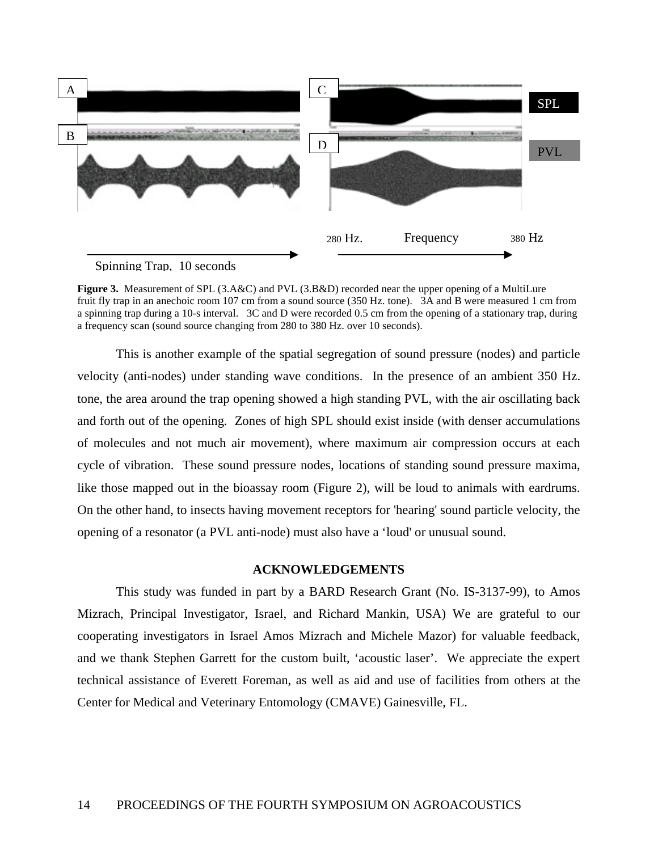

**Figure 3.** Measurement of SPL (3.A&C) and PVL (3.B&D) recorded near the upper opening of a MultiLure fruit fly trap in an anechoic room 107 cm from a sound source (350 Hz. tone). 3A and B were measured 1 cm from a spinning trap during a 10-s interval. 3C and D were recorded 0.5 cm from the opening of a stationary trap, during a frequency scan (sound source changing from 280 to 380 Hz. over 10 seconds).

 This is another example of the spatial segregation of sound pressure (nodes) and particle velocity (anti-nodes) under standing wave conditions. In the presence of an ambient 350 Hz. tone, the area around the trap opening showed a high standing PVL, with the air oscillating back and forth out of the opening. Zones of high SPL should exist inside (with denser accumulations of molecules and not much air movement), where maximum air compression occurs at each cycle of vibration. These sound pressure nodes, locations of standing sound pressure maxima, like those mapped out in the bioassay room (Figure 2), will be loud to animals with eardrums. On the other hand, to insects having movement receptors for 'hearing' sound particle velocity, the opening of a resonator (a PVL anti-node) must also have a 'loud' or unusual sound.

# **ACKNOWLEDGEMENTS**

This study was funded in part by a BARD Research Grant (No. IS-3137-99), to Amos Mizrach, Principal Investigator, Israel, and Richard Mankin, USA) We are grateful to our cooperating investigators in Israel Amos Mizrach and Michele Mazor) for valuable feedback, and we thank Stephen Garrett for the custom built, 'acoustic laser'. We appreciate the expert technical assistance of Everett Foreman, as well as aid and use of facilities from others at the Center for Medical and Veterinary Entomology (CMAVE) Gainesville, FL.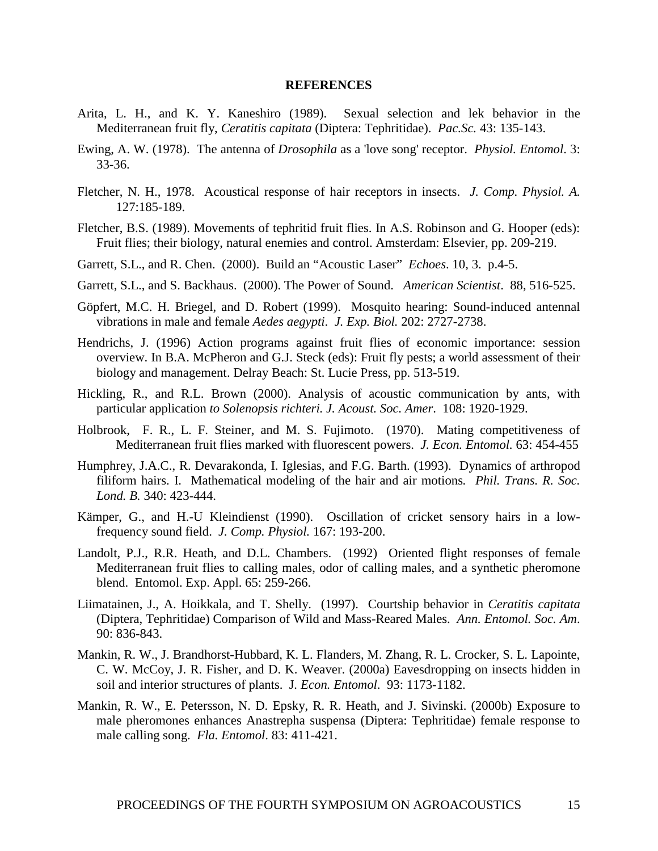#### **REFERENCES**

- Arita, L. H., and K. Y. Kaneshiro (1989). Sexual selection and lek behavior in the Mediterranean fruit fly, *Ceratitis capitata* (Diptera: Tephritidae). *Pac.Sc.* 43: 135-143.
- Ewing, A. W. (1978). The antenna of *Drosophila* as a 'love song' receptor. *Physiol. Entomol*. 3: 33-36.
- Fletcher, N. H., 1978. Acoustical response of hair receptors in insects. *J. Comp. Physiol. A.* 127:185-189.
- Fletcher, B.S. (1989). Movements of tephritid fruit flies. In A.S. Robinson and G. Hooper (eds): Fruit flies; their biology, natural enemies and control. Amsterdam: Elsevier, pp. 209-219.
- Garrett, S.L., and R. Chen. (2000). Build an "Acoustic Laser" *Echoes*. 10, 3. p.4-5.
- Garrett, S.L., and S. Backhaus. (2000). The Power of Sound. *American Scientist*. 88, 516-525.
- Göpfert, M.C. H. Briegel, and D. Robert (1999). Mosquito hearing: Sound-induced antennal vibrations in male and female *Aedes aegypti*. *J. Exp. Biol.* 202: 2727-2738.
- Hendrichs, J. (1996) Action programs against fruit flies of economic importance: session overview. In B.A. McPheron and G.J. Steck (eds): Fruit fly pests; a world assessment of their biology and management. Delray Beach: St. Lucie Press, pp. 513-519.
- Hickling, R., and R.L. Brown (2000). Analysis of acoustic communication by ants, with particular application *to Solenopsis richteri. J. Acoust. Soc. Amer*. 108: 1920-1929.
- Holbrook, F. R., L. F. Steiner, and M. S. Fujimoto. (1970). Mating competitiveness of Mediterranean fruit flies marked with fluorescent powers. *J. Econ. Entomol.* 63: 454-455
- Humphrey, J.A.C., R. Devarakonda, I. Iglesias, and F.G. Barth. (1993). Dynamics of arthropod filiform hairs. I. Mathematical modeling of the hair and air motions*. Phil. Trans. R. Soc. Lond. B.* 340: 423-444.
- Kämper, G., and H.-U Kleindienst (1990). Oscillation of cricket sensory hairs in a lowfrequency sound field. *J. Comp. Physiol.* 167: 193-200.
- Landolt, P.J., R.R. Heath, and D.L. Chambers. (1992) Oriented flight responses of female Mediterranean fruit flies to calling males, odor of calling males, and a synthetic pheromone blend. Entomol. Exp. Appl. 65: 259-266.
- Liimatainen, J., A. Hoikkala, and T. Shelly. (1997). Courtship behavior in *Ceratitis capitata* (Diptera, Tephritidae) Comparison of Wild and Mass-Reared Males. *Ann. Entomol. Soc. Am*. 90: 836-843.
- Mankin, R. W., J. Brandhorst-Hubbard, K. L. Flanders, M. Zhang, R. L. Crocker, S. L. Lapointe, C. W. McCoy, J. R. Fisher, and D. K. Weaver. (2000a) Eavesdropping on insects hidden in soil and interior structures of plants. J*. Econ. Entomol*. 93: 1173-1182.
- Mankin, R. W., E. Petersson, N. D. Epsky, R. R. Heath, and J. Sivinski. (2000b) Exposure to male pheromones enhances Anastrepha suspensa (Diptera: Tephritidae) female response to male calling song. *Fla. Entomol*. 83: 411-421.